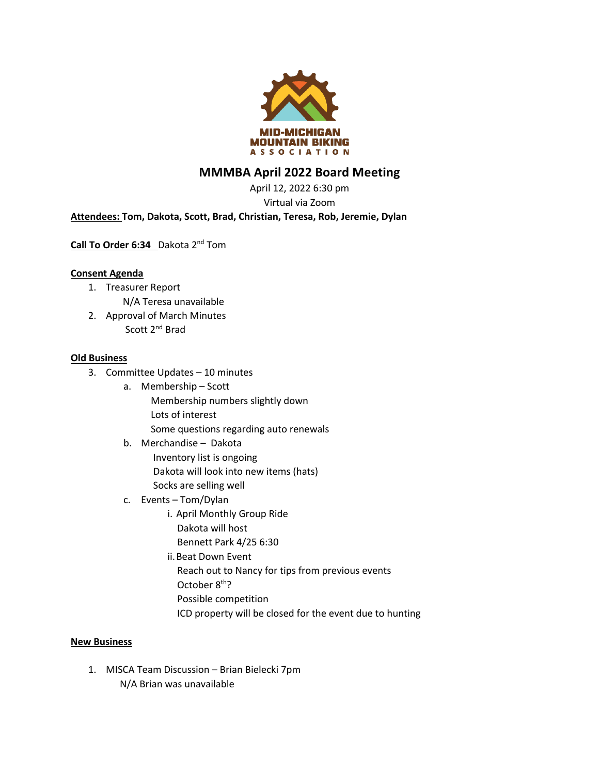

# **MMMBA April 2022 Board Meeting**

April 12, 2022 6:30 pm Virtual via Zoom

## **Attendees: Tom, Dakota, Scott, Brad, Christian, Teresa, Rob, Jeremie, Dylan**

**Call To Order 6:34** Dakota 2nd Tom

### **Consent Agenda**

- 1. Treasurer Report N/A Teresa unavailable
- 2. Approval of March Minutes Scott 2nd Brad

#### **Old Business**

- 3. Committee Updates 10 minutes
	- a. Membership Scott Membership numbers slightly down Lots of interest

Some questions regarding auto renewals

- b. Merchandise Dakota Inventory list is ongoing Dakota will look into new items (hats) Socks are selling well
- c. Events Tom/Dylan
	- i. April Monthly Group Ride Dakota will host Bennett Park 4/25 6:30
	- ii.Beat Down Event Reach out to Nancy for tips from previous events October 8<sup>th</sup>? Possible competition
		- ICD property will be closed for the event due to hunting

#### **New Business**

1. MISCA Team Discussion – Brian Bielecki 7pm N/A Brian was unavailable